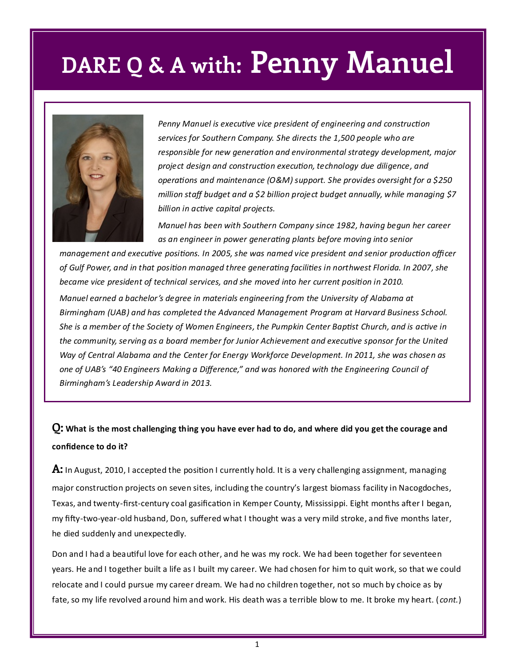

*Penny Manuel is executive vice president of engineering and construction services for Southern Company. She directs the 1,500 people who are responsible for new generation and environmental strategy development, major project design and construction execution, technology due diligence, and operations and maintenance (O&M) support. She provides oversight for a \$250 million staff budget and a \$2 billion project budget annually, while managing \$7 billion in active capital projects.*

*Manuel has been with Southern Company since 1982, having begun her career as an engineer in power generating plants before moving into senior* 

*management and executive positions. In 2005, she was named vice president and senior production officer of Gulf Power, and in that position managed three generating facilities in northwest Florida. In 2007, she became vice president of technical services, and she moved into her current position in 2010. Manuel earned a bachelor's degree in materials engineering from the University of Alabama at Birmingham (UAB) and has completed the Advanced Management Program at Harvard Business School. She is a member of the Society of Women Engineers, the Pumpkin Center Baptist Church, and is active in the community, serving as a board member for Junior Achievement and executive sponsor for the United Way of Central Alabama and the Center for Energy Workforce Development. In 2011, she was chosen as one of UAB's "40 Engineers Making a Difference," and was honored with the Engineering Council of Birmingham's Leadership Award in 2013.* 

#### **Q: What is the most challenging thing you have ever had to do, and where did you get the courage and confidence to do it?**

**A:** In August, 2010, I accepted the position I currently hold. It is a very challenging assignment, managing major construction projects on seven sites, including the country's largest biomass facility in Nacogdoches, Texas, and twenty-first-century coal gasification in Kemper County, Mississippi. Eight months after I began, my fifty-two-year-old husband, Don, suffered what I thought was a very mild stroke, and five months later, he died suddenly and unexpectedly.

Don and I had a beautiful love for each other, and he was my rock. We had been together for seventeen years. He and I together built a life as I built my career. We had chosen for him to quit work, so that we could relocate and I could pursue my career dream. We had no children together, not so much by choice as by fate, so my life revolved around him and work. His death was a terrible blow to me. It broke my heart. ( *cont.*)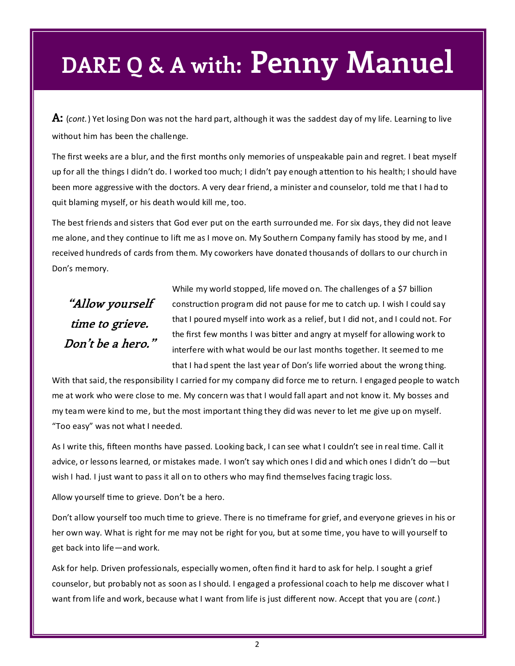**A:** (*cont.*) Yet losing Don was not the hard part, although it was the saddest day of my life. Learning to live without him has been the challenge.

The first weeks are a blur, and the first months only memories of unspeakable pain and regret. I beat myself up for all the things I didn't do. I worked too much; I didn't pay enough attention to his health; I should have been more aggressive with the doctors. A very dear friend, a minister and counselor, told me that I had to quit blaming myself, or his death would kill me, too.

The best friends and sisters that God ever put on the earth surrounded me. For six days, they did not leave me alone, and they continue to lift me as I move on. My Southern Company family has stood by me, and I received hundreds of cards from them. My coworkers have donated thousands of dollars to our church in Don's memory.

### **"Allow yourself time to grieve. Don't be a hero."**

While my world stopped, life moved on. The challenges of a \$7 billion construction program did not pause for me to catch up. I wish I could say that I poured myself into work as a relief, but I did not, and I could not. For the first few months I was bitter and angry at myself for allowing work to interfere with what would be our last months together. It seemed to me that I had spent the last year of Don's life worried about the wrong thing.

With that said, the responsibility I carried for my company did force me to return. I engaged people to watch me at work who were close to me. My concern was that I would fall apart and not know it. My bosses and my team were kind to me, but the most important thing they did was never to let me give up on myself. "Too easy" was not what I needed.

As I write this, fifteen months have passed. Looking back, I can see what I couldn't see in real time. Call it advice, or lessons learned, or mistakes made. I won't say which ones I did and which ones I didn't do —but wish I had. I just want to pass it all on to others who may find themselves facing tragic loss.

Allow yourself time to grieve. Don't be a hero.

Don't allow yourself too much time to grieve. There is no timeframe for grief, and everyone grieves in his or her own way. What is right for me may not be right for you, but at some time, you have to will yourself to get back into life—and work.

Ask for help. Driven professionals, especially women, often find it hard to ask for help. I sought a grief counselor, but probably not as soon as I should. I engaged a professional coach to help me discover what I want from life and work, because what I want from life is just different now. Accept that you are ( *cont.*)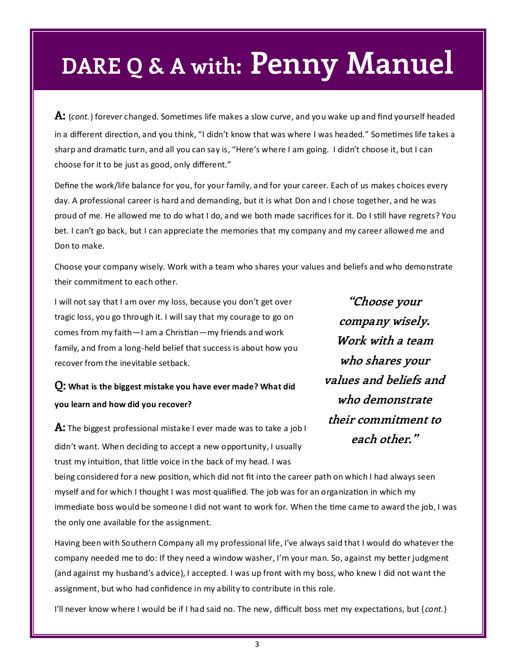**A:** (*cont.*) forever changed. Sometimes life makes a slow curve, and you wake up and find yourself headed in a different direction, and you think, "I didn't know that was where I was headed." Sometimes life takes a sharp and dramatic turn, and all you can say is, "Here's where I am going. I didn't choose it, but I can choose for it to be just as good, only different."

Define the work/life balance for you, for your family, and for your career. Each of us makes choices every day. A professional career is hard and demanding, but it is what Don and I chose together, and he was proud of me. He allowed me to do what I do, and we both made sacrifices for it. Do I still have regrets? You bet. I can't go back, but I can appreciate the memories that my company and my career allowed me and Don to make.

Choose your company wisely. Work with a team who shares your values and beliefs and who demonstrate their commitment to each other.

I will not say that I am over my loss, because you don't get over tragic loss, you go through it. I will say that my courage to go on comes from my faith—I am a Christian—my friends and work family, and from a long-held belief that success is about how you recover from the inevitable setback.

### **Q: What is the biggest mistake you have ever made? What did you learn and how did you recover?**

**"Choose your company wisely. Work with a team who shares your values and beliefs and who demonstrate their commitment to each other."**

**A:** The biggest professional mistake I ever made was to take a job I didn't want. When deciding to accept a new opportunity, I usually trust my intuition, that little voice in the back of my head. I was

being considered for a new position, which did not fit into the career path on which I had always seen myself and for which I thought I was most qualified. The job was for an organization in which my immediate boss would be someone I did not want to work for. When the time came to award the job, I was the only one available for the assignment.

Having been with Southern Company all my professional life, I've always said that I would do whatever the company needed me to do: If they need a window washer, I'm your man. So, against my better judgment (and against my husband's advice), I accepted. I was up front with my boss, who knew I did not want the assignment, but who had confidence in my ability to contribute in this role.

I'll never know where I would be if I had said no. The new, difficult boss met my expectations, but ( *cont.*)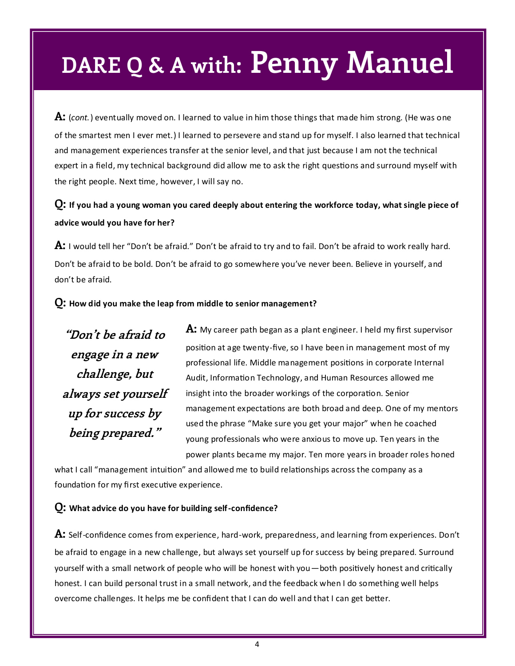**A:** (*cont.*) eventually moved on. I learned to value in him those things that made him strong. (He was one of the smartest men I ever met.) I learned to persevere and stand up for myself. I also learned that technical and management experiences transfer at the senior level, and that just because I am not the technical expert in a field, my technical background did allow me to ask the right questions and surround myself with the right people. Next time, however, I will say no.

#### **Q: If you had a young woman you cared deeply about entering the workforce today, what single piece of advice would you have for her?**

**A:** I would tell her "Don't be afraid." Don't be afraid to try and to fail. Don't be afraid to work really hard. Don't be afraid to be bold. Don't be afraid to go somewhere you've never been. Believe in yourself, and don't be afraid.

#### **Q: How did you make the leap from middle to senior management?**

**"Don't be afraid to engage in a new challenge, but always set yourself up for success by being prepared."**

**A:** My career path began as a plant engineer. I held my first supervisor position at age twenty-five, so I have been in management most of my professional life. Middle management positions in corporate Internal Audit, Information Technology, and Human Resources allowed me insight into the broader workings of the corporation. Senior management expectations are both broad and deep. One of my mentors used the phrase "Make sure you get your major" when he coached young professionals who were anxious to move up. Ten years in the power plants became my major. Ten more years in broader roles honed

what I call "management intuition" and allowed me to build relationships across the company as a foundation for my first executive experience.

#### **Q: What advice do you have for building self-confidence?**

**A:** Self-confidence comes from experience, hard-work, preparedness, and learning from experiences. Don't be afraid to engage in a new challenge, but always set yourself up for success by being prepared. Surround yourself with a small network of people who will be honest with you—both positively honest and critically honest. I can build personal trust in a small network, and the feedback when I do something well helps overcome challenges. It helps me be confident that I can do well and that I can get better.